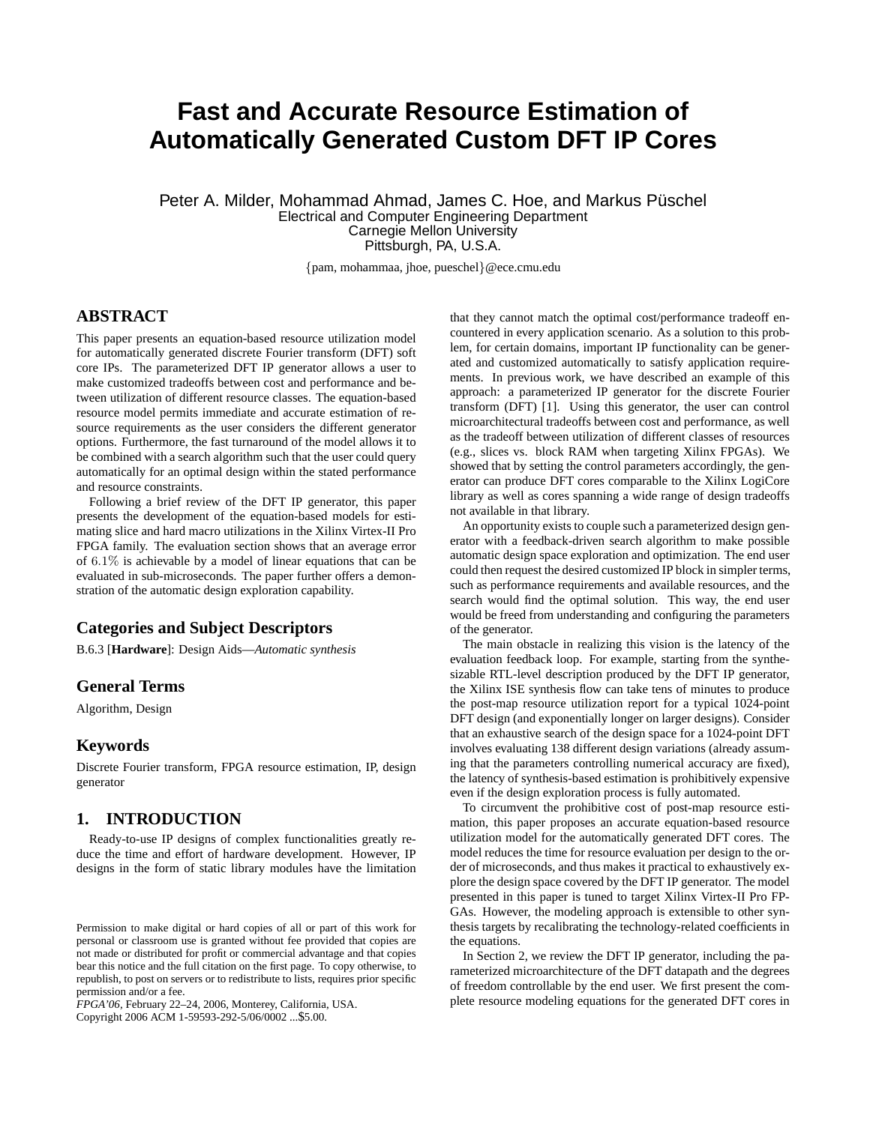# **Fast and Accurate Resource Estimation of Automatically Generated Custom DFT IP Cores**

Peter A. Milder, Mohammad Ahmad, James C. Hoe, and Markus Püschel Electrical and Computer Engineering Department Carnegie Mellon University Pittsburgh, PA, U.S.A.

{pam, mohammaa, jhoe, pueschel}@ece.cmu.edu

# **ABSTRACT**

This paper presents an equation-based resource utilization model for automatically generated discrete Fourier transform (DFT) soft core IPs. The parameterized DFT IP generator allows a user to make customized tradeoffs between cost and performance and between utilization of different resource classes. The equation-based resource model permits immediate and accurate estimation of resource requirements as the user considers the different generator options. Furthermore, the fast turnaround of the model allows it to be combined with a search algorithm such that the user could query automatically for an optimal design within the stated performance and resource constraints.

Following a brief review of the DFT IP generator, this paper presents the development of the equation-based models for estimating slice and hard macro utilizations in the Xilinx Virtex-II Pro FPGA family. The evaluation section shows that an average error of 6.1% is achievable by a model of linear equations that can be evaluated in sub-microseconds. The paper further offers a demonstration of the automatic design exploration capability.

# **Categories and Subject Descriptors**

B.6.3 [**Hardware**]: Design Aids—*Automatic synthesis*

## **General Terms**

Algorithm, Design

#### **Keywords**

Discrete Fourier transform, FPGA resource estimation, IP, design generator

# **1. INTRODUCTION**

Ready-to-use IP designs of complex functionalities greatly reduce the time and effort of hardware development. However, IP designs in the form of static library modules have the limitation

*FPGA'06,* February 22–24, 2006, Monterey, California, USA.

Copyright 2006 ACM 1-59593-292-5/06/0002 ...\$5.00.

that they cannot match the optimal cost/performance tradeoff encountered in every application scenario. As a solution to this problem, for certain domains, important IP functionality can be generated and customized automatically to satisfy application requirements. In previous work, we have described an example of this approach: a parameterized IP generator for the discrete Fourier transform (DFT) [1]. Using this generator, the user can control microarchitectural tradeoffs between cost and performance, as well as the tradeoff between utilization of different classes of resources (e.g., slices vs. block RAM when targeting Xilinx FPGAs). We showed that by setting the control parameters accordingly, the generator can produce DFT cores comparable to the Xilinx LogiCore library as well as cores spanning a wide range of design tradeoffs not available in that library.

An opportunity exists to couple such a parameterized design generator with a feedback-driven search algorithm to make possible automatic design space exploration and optimization. The end user could then request the desired customized IP block in simpler terms, such as performance requirements and available resources, and the search would find the optimal solution. This way, the end user would be freed from understanding and configuring the parameters of the generator.

The main obstacle in realizing this vision is the latency of the evaluation feedback loop. For example, starting from the synthesizable RTL-level description produced by the DFT IP generator, the Xilinx ISE synthesis flow can take tens of minutes to produce the post-map resource utilization report for a typical 1024-point DFT design (and exponentially longer on larger designs). Consider that an exhaustive search of the design space for a 1024-point DFT involves evaluating 138 different design variations (already assuming that the parameters controlling numerical accuracy are fixed), the latency of synthesis-based estimation is prohibitively expensive even if the design exploration process is fully automated.

To circumvent the prohibitive cost of post-map resource estimation, this paper proposes an accurate equation-based resource utilization model for the automatically generated DFT cores. The model reduces the time for resource evaluation per design to the order of microseconds, and thus makes it practical to exhaustively explore the design space covered by the DFT IP generator. The model presented in this paper is tuned to target Xilinx Virtex-II Pro FP-GAs. However, the modeling approach is extensible to other synthesis targets by recalibrating the technology-related coefficients in the equations.

In Section 2, we review the DFT IP generator, including the parameterized microarchitecture of the DFT datapath and the degrees of freedom controllable by the end user. We first present the complete resource modeling equations for the generated DFT cores in

Permission to make digital or hard copies of all or part of this work for personal or classroom use is granted without fee provided that copies are not made or distributed for profit or commercial advantage and that copies bear this notice and the full citation on the first page. To copy otherwise, to republish, to post on servers or to redistribute to lists, requires prior specific permission and/or a fee.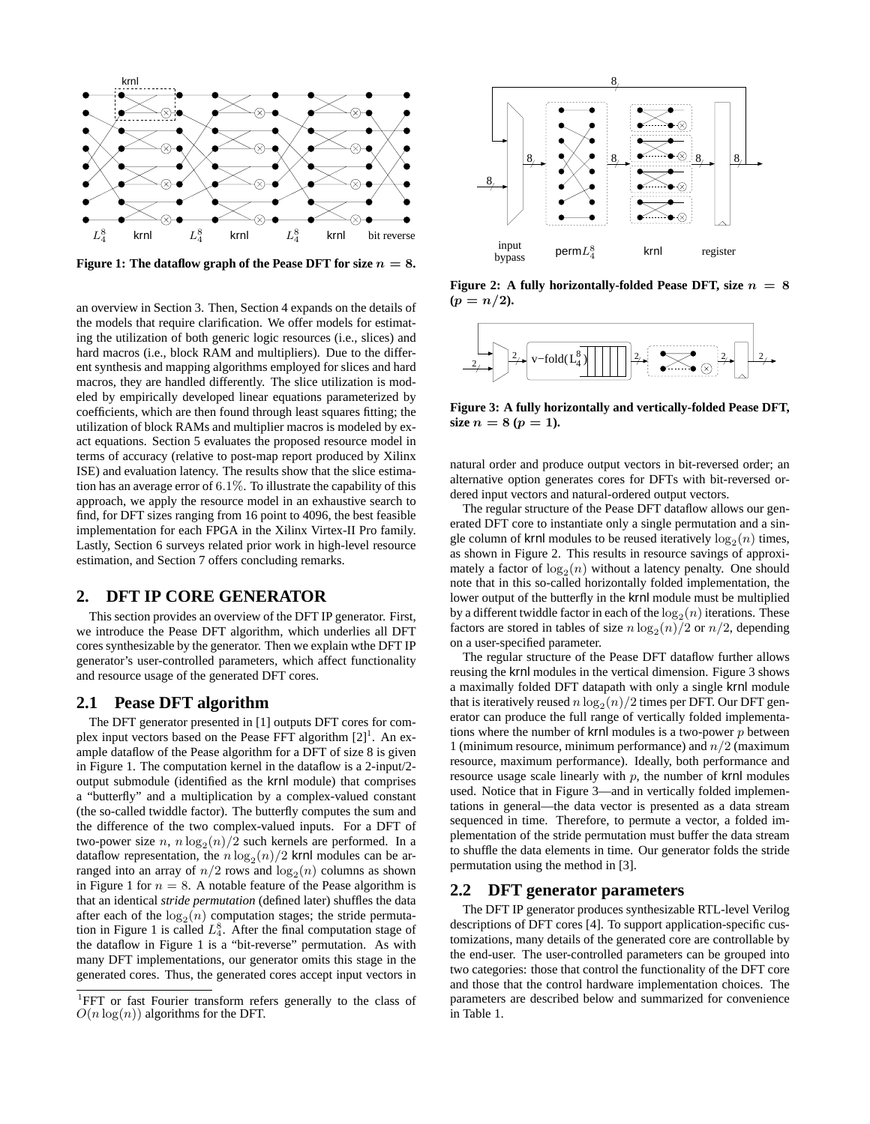

**Figure 1: The dataflow graph of the Pease DFT for size**  $n = 8$ **.** 

an overview in Section 3. Then, Section 4 expands on the details of the models that require clarification. We offer models for estimating the utilization of both generic logic resources (i.e., slices) and hard macros (i.e., block RAM and multipliers). Due to the different synthesis and mapping algorithms employed for slices and hard macros, they are handled differently. The slice utilization is modeled by empirically developed linear equations parameterized by coefficients, which are then found through least squares fitting; the utilization of block RAMs and multiplier macros is modeled by exact equations. Section 5 evaluates the proposed resource model in terms of accuracy (relative to post-map report produced by Xilinx ISE) and evaluation latency. The results show that the slice estimation has an average error of 6.1%. To illustrate the capability of this approach, we apply the resource model in an exhaustive search to find, for DFT sizes ranging from 16 point to 4096, the best feasible implementation for each FPGA in the Xilinx Virtex-II Pro family. Lastly, Section 6 surveys related prior work in high-level resource estimation, and Section 7 offers concluding remarks.

## **2. DFT IP CORE GENERATOR**

This section provides an overview of the DFT IP generator. First, we introduce the Pease DFT algorithm, which underlies all DFT cores synthesizable by the generator. Then we explain wthe DFT IP generator's user-controlled parameters, which affect functionality and resource usage of the generated DFT cores.

# **2.1 Pease DFT algorithm**

The DFT generator presented in [1] outputs DFT cores for complex input vectors based on the Pease FFT algorithm  $[2]$ <sup>1</sup>. An example dataflow of the Pease algorithm for a DFT of size 8 is given in Figure 1. The computation kernel in the dataflow is a 2-input/2 output submodule (identified as the krnl module) that comprises a "butterfly" and a multiplication by a complex-valued constant (the so-called twiddle factor). The butterfly computes the sum and the difference of the two complex-valued inputs. For a DFT of two-power size n,  $n \log_2(n)/2$  such kernels are performed. In a dataflow representation, the  $n \log_2(n)/2$  krnl modules can be arranged into an array of  $n/2$  rows and  $log_2(n)$  columns as shown in Figure 1 for  $n = 8$ . A notable feature of the Pease algorithm is that an identical *stride permutation* (defined later) shuffles the data after each of the  $log_2(n)$  computation stages; the stride permutation in Figure 1 is called  $L_A^8$ . After the final computation stage of the data flave in Figure 1 is a "bit gaugene" normalities. As with the dataflow in Figure 1 is a "bit-reverse" permutation. As with many DFT implementations, our generator omits this stage in the generated cores. Thus, the generated cores accept input vectors in



**Figure 2: A fully horizontally-folded Pease DFT, size** *n* **= 8**  $(p = n/2)$ .



**Figure 3: A fully horizontally and vertically-folded Pease DFT, size**  $n = 8 (p = 1)$ .

natural order and produce output vectors in bit-reversed order; an alternative option generates cores for DFTs with bit-reversed ordered input vectors and natural-ordered output vectors.

The regular structure of the Pease DFT dataflow allows our generated DFT core to instantiate only a single permutation and a single column of krnl modules to be reused iteratively  $log_2(n)$  times, as shown in Figure 2. This results in resource savings of approximately a factor of  $log_2(n)$  without a latency penalty. One should note that in this so-called horizontally folded implementation, the lower output of the butterfly in the krnl module must be multiplied by a different twiddle factor in each of the  $log_2(n)$  iterations. These factors are stored in tables of size  $n \log_2(n)/2$  or  $n/2$ , depending on a user-specified parameter.

The regular structure of the Pease DFT dataflow further allows reusing the krnl modules in the vertical dimension. Figure 3 shows a maximally folded DFT datapath with only a single krnl module that is iteratively reused  $n \log_2(n)/2$  times per DFT. Our DFT generator can produce the full range of vertically folded implementations where the number of  $krnl$  modules is a two-power  $p$  between 1 (minimum resource, minimum performance) and  $n/2$  (maximum resource, maximum performance). Ideally, both performance and resource usage scale linearly with  $p$ , the number of krnl modules used. Notice that in Figure 3—and in vertically folded implementations in general—the data vector is presented as a data stream sequenced in time. Therefore, to permute a vector, a folded implementation of the stride permutation must buffer the data stream to shuffle the data elements in time. Our generator folds the stride permutation using the method in [3].

#### **2.2 DFT generator parameters**

The DFT IP generator produces synthesizable RTL-level Verilog descriptions of DFT cores [4]. To support application-specific customizations, many details of the generated core are controllable by the end-user. The user-controlled parameters can be grouped into two categories: those that control the functionality of the DFT core and those that the control hardware implementation choices. The parameters are described below and summarized for convenience in Table 1.

<sup>&</sup>lt;sup>1</sup>FFT or fast Fourier transform refers generally to the class of  $O(n \log(n))$  algorithms for the DFT.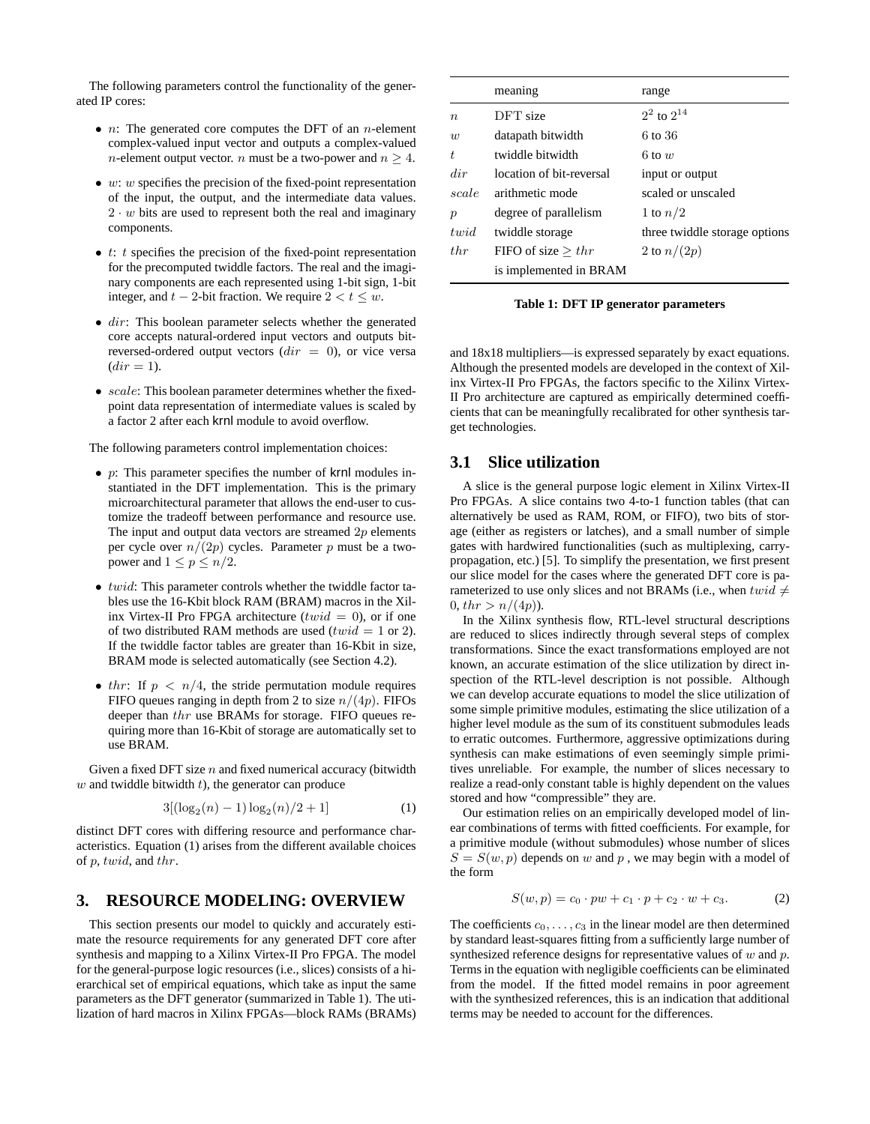The following parameters control the functionality of the generated IP cores:

- $n$ : The generated core computes the DFT of an *n*-element complex-valued input vector and outputs a complex-valued *n*-element output vector. *n* must be a two-power and  $n \geq 4$ .
- $\bullet$  w: w specifies the precision of the fixed-point representation of the input, the output, and the intermediate data values.  $2 \cdot w$  bits are used to represent both the real and imaginary components.
- $\bullet$  *t*: *t* specifies the precision of the fixed-point representation for the precomputed twiddle factors. The real and the imaginary components are each represented using 1-bit sign, 1-bit integer, and  $t - 2$ -bit fraction. We require  $2 < t \leq w$ .
- $\bullet$  dir: This boolean parameter selects whether the generated core accepts natural-ordered input vectors and outputs bitreversed-ordered output vectors  $dir = 0$ , or vice versa  $dir = 1$ ).
- $\bullet$  scale: This boolean parameter determines whether the fixedpoint data representation of intermediate values is scaled by a factor 2 after each krnl module to avoid overflow.

The following parameters control implementation choices:

- $p$ : This parameter specifies the number of krnl modules instantiated in the DFT implementation. This is the primary microarchitectural parameter that allows the end-user to customize the tradeoff between performance and resource use. The input and output data vectors are streamed  $2p$  elements per cycle over  $n/(2p)$  cycles. Parameter p must be a twopower and  $1 \leq p \leq n/2$ .
- $\bullet$  twid: This parameter controls whether the twiddle factor tables use the 16-Kbit block RAM (BRAM) macros in the Xilinx Virtex-II Pro FPGA architecture ( $twid = 0$ ), or if one of two distributed RAM methods are used ( $twid = 1$  or 2). If the twiddle factor tables are greater than 16-Kbit in size, BRAM mode is selected automatically (see Section 4.2).
- thr: If  $p \leq n/4$ , the stride permutation module requires FIFO queues ranging in depth from 2 to size  $n/(4p)$ . FIFOs deeper than thr use BRAMs for storage. FIFO queues requiring more than 16-Kbit of storage are automatically set to use BRAM.

Given a fixed DFT size  $n$  and fixed numerical accuracy (bitwidth  $w$  and twiddle bitwidth  $t$ ), the generator can produce

$$
3[(\log_2(n)-1)\log_2(n)/2+1]
$$
 (1)

distinct DFT cores with differing resource and performance characteristics. Equation (1) arises from the different available choices of p, twid, and thr.

## **3. RESOURCE MODELING: OVERVIEW**

This section presents our model to quickly and accurately estimate the resource requirements for any generated DFT core after synthesis and mapping to a Xilinx Virtex-II Pro FPGA. The model for the general-purpose logic resources (i.e., slices) consists of a hierarchical set of empirical equations, which take as input the same parameters as the DFT generator (summarized in Table 1). The utilization of hard macros in Xilinx FPGAs—block RAMs (BRAMs)

|                  | meaning                  | range                         |
|------------------|--------------------------|-------------------------------|
| $\boldsymbol{n}$ | DFT size                 | $2^2$ to $2^{14}$             |
| w                | datapath bitwidth        | 6 to 36                       |
| t.               | twiddle bitwidth         | 6 to $w$                      |
| dir              | location of bit-reversal | input or output               |
| scale            | arithmetic mode          | scaled or unscaled            |
| $\boldsymbol{p}$ | degree of parallelism    | 1 to $n/2$                    |
| $t$ <i>wid</i>   | twiddle storage          | three twiddle storage options |
| $_{thr}$         | FIFO of size $> thr$     | 2 to $n/(2p)$                 |
|                  | is implemented in BRAM   |                               |

**Table 1: DFT IP generator parameters**

and 18x18 multipliers—is expressed separately by exact equations. Although the presented models are developed in the context of Xilinx Virtex-II Pro FPGAs, the factors specific to the Xilinx Virtex-II Pro architecture are captured as empirically determined coefficients that can be meaningfully recalibrated for other synthesis target technologies.

# **3.1 Slice utilization**

A slice is the general purpose logic element in Xilinx Virtex-II Pro FPGAs. A slice contains two 4-to-1 function tables (that can alternatively be used as RAM, ROM, or FIFO), two bits of storage (either as registers or latches), and a small number of simple gates with hardwired functionalities (such as multiplexing, carrypropagation, etc.) [5]. To simplify the presentation, we first present our slice model for the cases where the generated DFT core is parameterized to use only slices and not BRAMs (i.e., when  $twid \neq$  $0, thr > n/(4p)$ ).

In the Xilinx synthesis flow, RTL-level structural descriptions are reduced to slices indirectly through several steps of complex transformations. Since the exact transformations employed are not known, an accurate estimation of the slice utilization by direct inspection of the RTL-level description is not possible. Although we can develop accurate equations to model the slice utilization of some simple primitive modules, estimating the slice utilization of a higher level module as the sum of its constituent submodules leads to erratic outcomes. Furthermore, aggressive optimizations during synthesis can make estimations of even seemingly simple primitives unreliable. For example, the number of slices necessary to realize a read-only constant table is highly dependent on the values stored and how "compressible" they are.

Our estimation relies on an empirically developed model of linear combinations of terms with fitted coefficients. For example, for a primitive module (without submodules) whose number of slices  $S = S(w, p)$  depends on w and p, we may begin with a model of the form

$$
S(w, p) = c_0 \cdot pw + c_1 \cdot p + c_2 \cdot w + c_3. \tag{2}
$$

The coefficients  $c_0, \ldots, c_3$  in the linear model are then determined by standard least-squares fitting from a sufficiently large number of synthesized reference designs for representative values of  $w$  and  $p$ . Terms in the equation with negligible coefficients can be eliminated from the model. If the fitted model remains in poor agreement with the synthesized references, this is an indication that additional terms may be needed to account for the differences.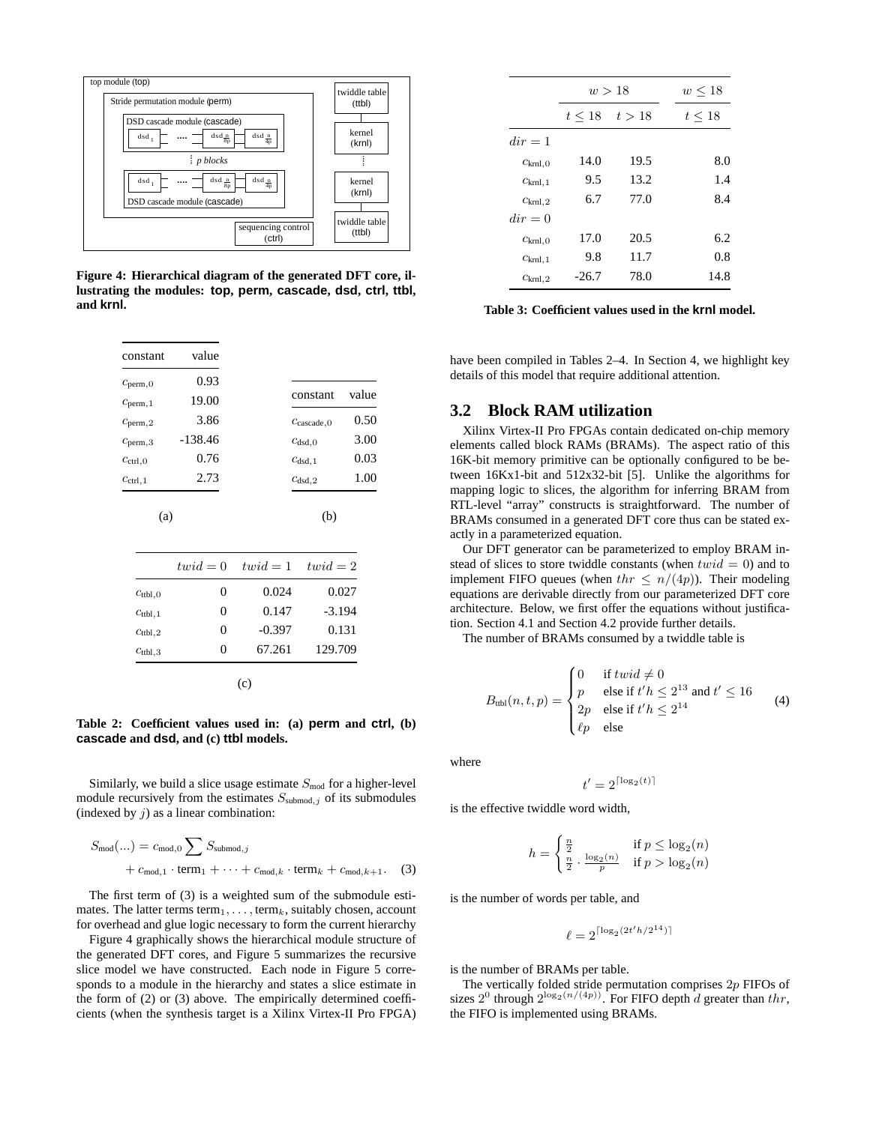

**Figure 4: Hierarchical diagram of the generated DFT core, illustrating the modules: top, perm, cascade, dsd, ctrl, ttbl, and krnl.**

| constant                | value     |                         |       |
|-------------------------|-----------|-------------------------|-------|
| $c_{\text{perm},0}$     | 0.93      |                         |       |
| $c_{\text{perm},1}$     | 19.00     | constant                | value |
| $c_{\text{perm},2}$     | 3.86      | $c_{\text{cascade}}$ .0 | 0.50  |
| $C$ <sub>perm</sub> , 3 | $-138.46$ | Cdsd.0                  | 3.00  |
| $c_{\text{ctrl},0}$     | 0.76      | $c_{dsd,1}$             | 0.03  |
| $c_{\text{ctrl},1}$     | 2.73      | $c_{dsd,2}$             | 1.00  |

(b)

(a)

|                     | $twid = 0$ | $twid = 1$ | $twid = 2$ |
|---------------------|------------|------------|------------|
| $c_{\text{ttbl},0}$ | 0          | 0.024      | 0.027      |
| $c_{\text{ttbl},1}$ | 0          | 0.147      | $-3.194$   |
| $c_{\text{ttbl},2}$ | 0          | $-0.397$   | 0.131      |
| $c_{\text{ttbl},3}$ | $\theta$   | 67.261     | 129.709    |
|                     |            |            |            |

(c)

**Table 2: Coefficient values used in: (a) perm and ctrl, (b) cascade and dsd, and (c) ttbl models.**

Similarly, we build a slice usage estimate  $S_{mod}$  for a higher-level module recursively from the estimates  $S_{\text{submod},j}$  of its submodules (indexed by  $j$ ) as a linear combination:

$$
S_{\text{mod}}(...) = c_{\text{mod},0} \sum S_{\text{submod},j}
$$
  
+  $c_{\text{mod},1} \cdot \text{term}_1 + \dots + c_{\text{mod},k} \cdot \text{term}_k + c_{\text{mod},k+1}.$  (3)

The first term of (3) is a weighted sum of the submodule estimates. The latter terms term<sub>1</sub>, ..., term<sub>*k*</sub>, suitably chosen, account for overhead and glue logic necessary to form the current hierarchy

Figure 4 graphically shows the hierarchical module structure of the generated DFT cores, and Figure 5 summarizes the recursive slice model we have constructed. Each node in Figure 5 corresponds to a module in the hierarchy and states a slice estimate in the form of (2) or (3) above. The empirically determined coefficients (when the synthesis target is a Xilinx Virtex-II Pro FPGA)

|                           | w>18    | $w \leq 18$          |             |
|---------------------------|---------|----------------------|-------------|
|                           |         | $t \leq 18$ $t > 18$ | $t \leq 18$ |
| $dir = 1$                 |         |                      |             |
| $c_{\text{krnl},0}$       | 14.0    | 19.5                 | 8.0         |
| $c_{\text{krnl},1}$       | 9.5     | 13.2                 | 1.4         |
| $C$ <sub>krnl</sub> , $2$ | 6.7     | 77.0                 | 8.4         |
| $dir = 0$                 |         |                      |             |
| $c_{\text{krnl},0}$       | 17.0    | 20.5                 | 6.2         |
| $c_{\text{krnl},1}$       | 9.8     | 11.7                 | 0.8         |
| $c_{\text{krnl},2}$       | $-26.7$ | 78.0                 | 14.8        |

**Table 3: Coefficient values used in the krnl model.**

have been compiled in Tables 2–4. In Section 4, we highlight key details of this model that require additional attention.

#### **3.2 Block RAM utilization**

Xilinx Virtex-II Pro FPGAs contain dedicated on-chip memory elements called block RAMs (BRAMs). The aspect ratio of this 16K-bit memory primitive can be optionally configured to be between 16Kx1-bit and 512x32-bit [5]. Unlike the algorithms for mapping logic to slices, the algorithm for inferring BRAM from RTL-level "array" constructs is straightforward. The number of BRAMs consumed in a generated DFT core thus can be stated exactly in a parameterized equation.

Our DFT generator can be parameterized to employ BRAM instead of slices to store twiddle constants (when  $twid = 0$ ) and to implement FIFO queues (when  $thr \leq n/(4p)$ ). Their modeling equations are derivable directly from our parameterized DFT core architecture. Below, we first offer the equations without justification. Section 4.1 and Section 4.2 provide further details.

The number of BRAMs consumed by a twiddle table is

$$
B_{\text{ubl}}(n, t, p) = \begin{cases} 0 & \text{if } \text{twid} \neq 0 \\ p & \text{else if } t'h \leq 2^{13} \text{ and } t' \leq 16 \\ 2p & \text{else if } t'h \leq 2^{14} \\ \ell p & \text{else} \end{cases} \tag{4}
$$

where

$$
t' = 2^{\lceil \log_2(t) \rceil}
$$

is the effective twiddle word width,

$$
h = \begin{cases} \frac{n}{2} & \text{if } p \le \log_2(n) \\ \frac{n}{2} \cdot \frac{\log_2(n)}{p} & \text{if } p > \log_2(n) \end{cases}
$$

is the number of words per table, and

$$
\ell = 2^{\lceil \log_2(2t'h/2^{14}) \rceil}
$$

is the number of BRAMs per table.

The vertically folded stride permutation comprises  $2p$  FIFOs of<br>res  $2^0$  through  $2^{\log_2(n/(4p))}$ . For FIFO denth d greater than the sizes 2<sup>0</sup> through  $2^{\log_2(n/(4p))}$ . For FIFO depth d greater than thr, the FIFO is implemented using RRAMs the FIFO is implemented using BRAMs.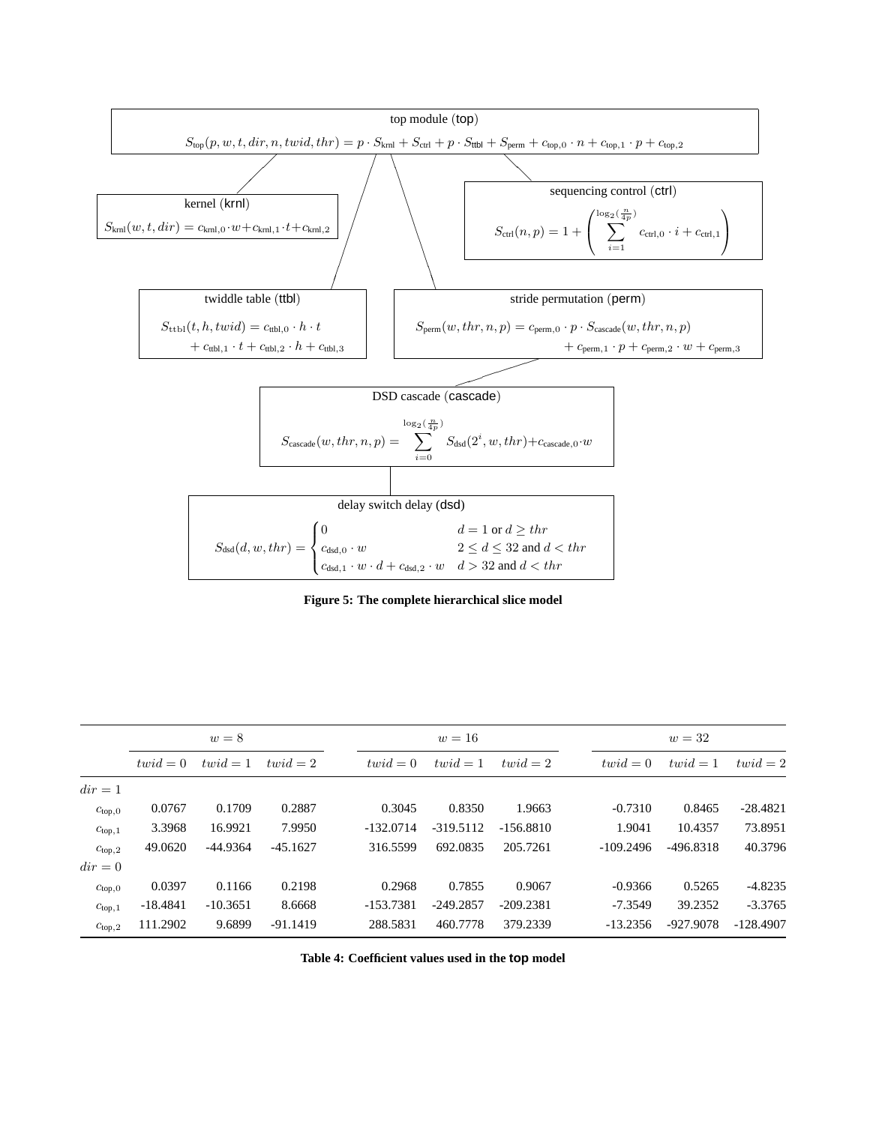

**Figure 5: The complete hierarchical slice model**

|                    | $w=8$      |            |            | $w=16$      |             |             | $w=32$ |             |             |             |
|--------------------|------------|------------|------------|-------------|-------------|-------------|--------|-------------|-------------|-------------|
|                    | $twid = 0$ | $twid = 1$ | $twid = 2$ | $twid = 0$  | $twid = 1$  | $twid = 2$  |        | $twid = 0$  | $twid = 1$  | $twid = 2$  |
| $dir = 1$          |            |            |            |             |             |             |        |             |             |             |
| $c_{top,0}$        | 0.0767     | 0.1709     | 0.2887     | 0.3045      | 0.8350      | 1.9663      |        | $-0.7310$   | 0.8465      | $-28.4821$  |
| $c_{\text{top},1}$ | 3.3968     | 16.9921    | 7.9950     | $-132.0714$ | -319.5112   | $-156.8810$ |        | 1.9041      | 10.4357     | 73.8951     |
| $c_{top,2}$        | 49.0620    | $-44.9364$ | $-45.1627$ | 316.5599    | 692.0835    | 205.7261    |        | $-109.2496$ | $-496.8318$ | 40.3796     |
| $dir = 0$          |            |            |            |             |             |             |        |             |             |             |
| C <sub>top,0</sub> | 0.0397     | 0.1166     | 0.2198     | 0.2968      | 0.7855      | 0.9067      |        | $-0.9366$   | 0.5265      | $-4.8235$   |
| $c_{\text{top},1}$ | -18.4841   | $-10.3651$ | 8.6668     | $-153.7381$ | $-249.2857$ | $-209.2381$ |        | $-7.3549$   | 39.2352     | $-3.3765$   |
| $c_{top,2}$        | 111.2902   | 9.6899     | $-91.1419$ | 288.5831    | 460.7778    | 379.2339    |        | $-13.2356$  | -927.9078   | $-128.4907$ |

**Table 4: Coefficient values used in the top model**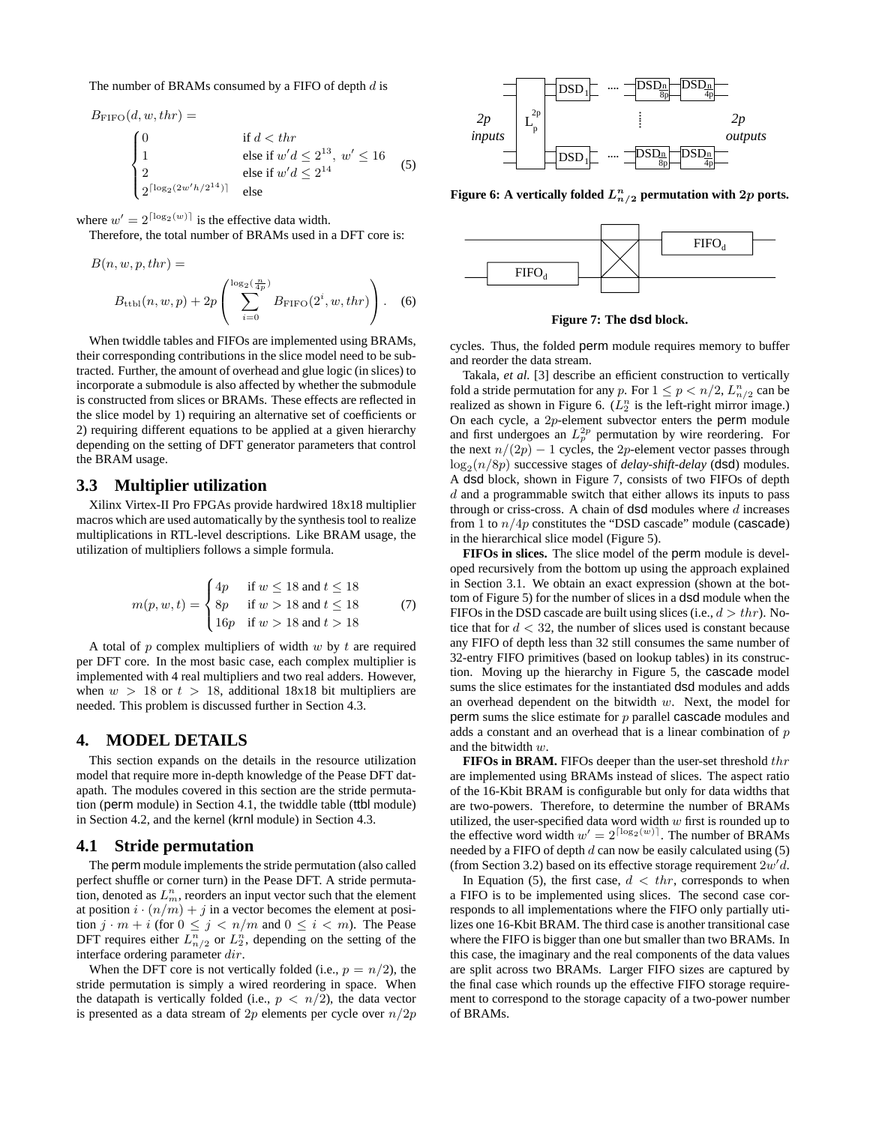The number of BRAMs consumed by a FIFO of depth  $d$  is

$$
B_{\text{FIFO}}(d, w, thr) =
$$
\n
$$
\begin{cases}\n0 & \text{if } d < thr \\
1 & \text{else if } w'd \le 2^{13}, w' \le 16 \\
2 & \text{else if } w'd \le 2^{14} \\
2^{\lceil \log_2(2w'h/2^{14}) \rceil} & \text{else}\n\end{cases}
$$
\n(5)

where  $w' = 2^{\lceil \log_2(w) \rceil}$  is the effective data width.<br>Therefore, the total number of **BRAMs** used in

Therefore, the total number of BRAMs used in a DFT core is:

$$
B(n, w, p, thr) =
$$
  

$$
B_{\text{ttbl}}(n, w, p) + 2p \left( \sum_{i=0}^{\log_2(\frac{n}{4p})} B_{\text{FIFO}}(2^i, w, thr) \right).
$$
 (6)

When twiddle tables and FIFOs are implemented using BRAMs, their corresponding contributions in the slice model need to be subtracted. Further, the amount of overhead and glue logic (in slices) to incorporate a submodule is also affected by whether the submodule is constructed from slices or BRAMs. These effects are reflected in the slice model by 1) requiring an alternative set of coefficients or 2) requiring different equations to be applied at a given hierarchy depending on the setting of DFT generator parameters that control the BRAM usage.

#### **3.3 Multiplier utilization**

Xilinx Virtex-II Pro FPGAs provide hardwired 18x18 multiplier macros which are used automatically by the synthesis tool to realize multiplications in RTL-level descriptions. Like BRAM usage, the utilization of multipliers follows a simple formula.

$$
m(p, w, t) = \begin{cases} 4p & \text{if } w \le 18 \text{ and } t \le 18 \\ 8p & \text{if } w > 18 \text{ and } t \le 18 \\ 16p & \text{if } w > 18 \text{ and } t > 18 \end{cases}
$$
 (7)

A total of  $p$  complex multipliers of width  $w$  by  $t$  are required per DFT core. In the most basic case, each complex multiplier is implemented with 4 real multipliers and two real adders. However, when  $w > 18$  or  $t > 18$ , additional 18x18 bit multipliers are needed. This problem is discussed further in Section 4.3.

## **4. MODEL DETAILS**

This section expands on the details in the resource utilization model that require more in-depth knowledge of the Pease DFT datapath. The modules covered in this section are the stride permutation (perm module) in Section 4.1, the twiddle table (ttbl module) in Section 4.2, and the kernel (krnl module) in Section 4.3.

#### **4.1 Stride permutation**

The perm module implements the stride permutation (also called perfect shuffle or corner turn) in the Pease DFT. A stride permutation, denoted as  $L_m^n$ , reorders an input vector such that the element at position  $i \cdot (n/m) + j$  in a vector becomes the element at position  $j \cdot m + i$  (for  $0 \leq j < n/m$  and  $0 \leq i < m$ ). The Pease<br>DFT requires either  $L_{n/2}^n$  or  $L_2^n$ , depending on the setting of the<br>interface ordering parameter dir. interface ordering parameter dir.

When the DFT core is not vertically folded (i.e.,  $p = n/2$ ), the stride permutation is simply a wired reordering in space. When the datapath is vertically folded (i.e.,  $p < n/2$ ), the data vector is presented as a data stream of 2p elements per cycle over  $n/2p$ 



Figure 6: A vertically folded  $L_{n/2}^n$  permutation with  $2p$  ports.



**Figure 7: The dsd block.**

cycles. Thus, the folded perm module requires memory to buffer and reorder the data stream.

Takala, *et al.* [3] describe an efficient construction to vertically fold a stride permutation for any p. For  $1 \leq p < n/2$ ,  $L_{n/2}^n$  can be realized as shown in Figure 6.  $(L_n^n)$  is the left-right mirror image. realized as shown in Figure 6.  $(L_2^n)$  is the left-right mirror image.)<br>On each guals a 2n element uphysoter enters the **porm** module On each cycle, a 2p-element subvector enters the perm module and first undergoes an  $L_p^{2p}$  permutation by wire reordering. For the next  $n/(2p) - 1$  cycles, the 2p-element vector passes through  $log_2(n/8p)$  successive stages of *delay-shift-delay* (dsd) modules. A dsd block, shown in Figure 7, consists of two FIFOs of depth  $d$  and a programmable switch that either allows its inputs to pass through or criss-cross. A chain of  $dsd$  modules where  $d$  increases from 1 to  $n/4p$  constitutes the "DSD cascade" module (cascade) in the hierarchical slice model (Figure 5).

**FIFOs in slices.** The slice model of the perm module is developed recursively from the bottom up using the approach explained in Section 3.1. We obtain an exact expression (shown at the bottom of Figure 5) for the number of slices in a dsd module when the FIFOs in the DSD cascade are built using slices (i.e.,  $d > thr$ ). Notice that for  $d < 32$ , the number of slices used is constant because any FIFO of depth less than 32 still consumes the same number of 32-entry FIFO primitives (based on lookup tables) in its construction. Moving up the hierarchy in Figure 5, the cascade model sums the slice estimates for the instantiated dsd modules and adds an overhead dependent on the bitwidth  $w$ . Next, the model for perm sums the slice estimate for  $p$  parallel cascade modules and adds a constant and an overhead that is a linear combination of  $p$ and the bitwidth w.

**FIFOs in BRAM.** FIFOs deeper than the user-set threshold thr are implemented using BRAMs instead of slices. The aspect ratio of the 16-Kbit BRAM is configurable but only for data widths that are two-powers. Therefore, to determine the number of BRAMs utilized, the user-specified data word width  $w$  first is rounded up to the effective word width  $w' = 2^{\lceil \log_2(w) \rceil}$ . The number of BRAMs<br>needed by a EIFO of depth *d* can now be easily calculated using (5) needed by a FIFO of depth  $d$  can now be easily calculated using  $(5)$ (from Section 3.2) based on its effective storage requirement  $2w'd$ .<br>In Equation (5), the first case  $d \leq tr$  corresponds to when

In Equation (5), the first case,  $d < thr$ , corresponds to when a FIFO is to be implemented using slices. The second case corresponds to all implementations where the FIFO only partially utilizes one 16-Kbit BRAM. The third case is another transitional case where the FIFO is bigger than one but smaller than two BRAMs. In this case, the imaginary and the real components of the data values are split across two BRAMs. Larger FIFO sizes are captured by the final case which rounds up the effective FIFO storage requirement to correspond to the storage capacity of a two-power number of BRAMs.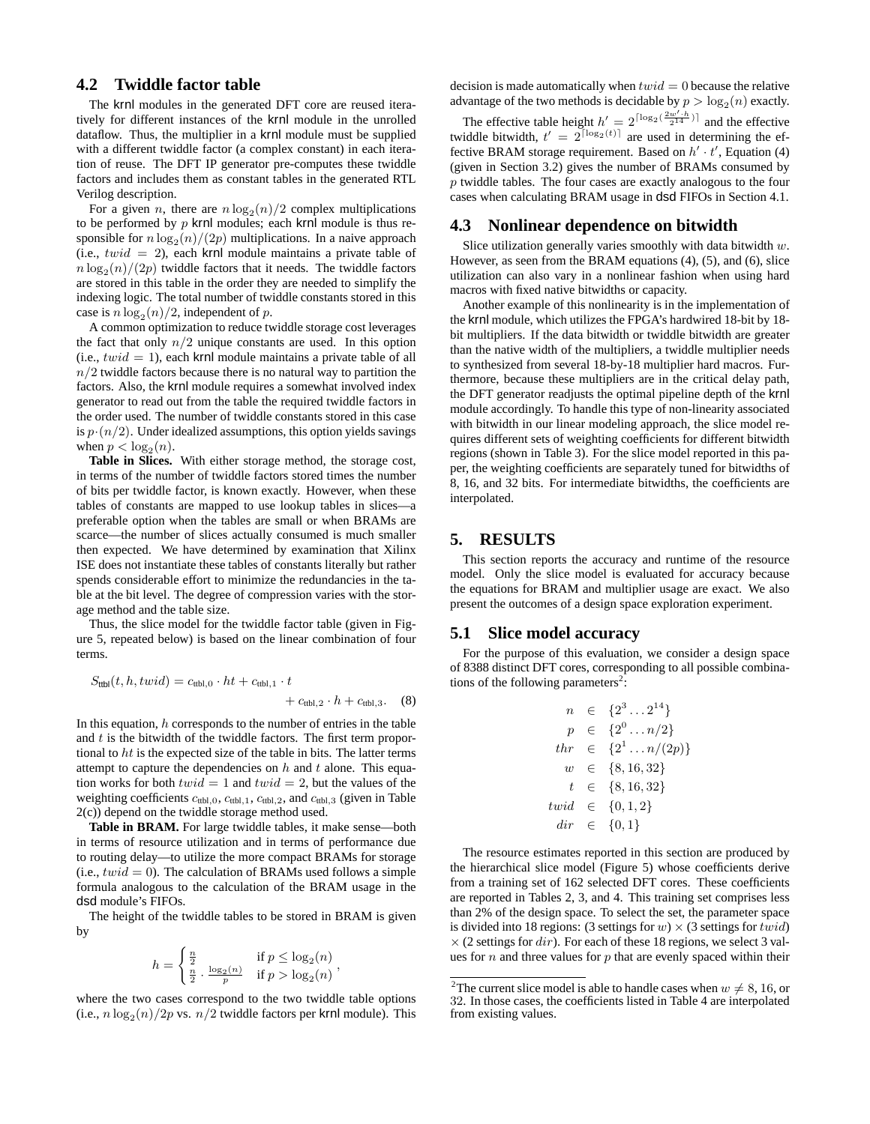# **4.2 Twiddle factor table**

The krnl modules in the generated DFT core are reused iteratively for different instances of the krnl module in the unrolled dataflow. Thus, the multiplier in a krnl module must be supplied with a different twiddle factor (a complex constant) in each iteration of reuse. The DFT IP generator pre-computes these twiddle factors and includes them as constant tables in the generated RTL Verilog description.

For a given *n*, there are  $n \log_2(n)/2$  complex multiplications to be performed by  $p$  krnl modules; each krnl module is thus responsible for  $n \log_2(n)/(2p)$  multiplications. In a naive approach (i.e.,  $twid = 2$ ), each krnl module maintains a private table of  $n \log_2(n)/(2p)$  twiddle factors that it needs. The twiddle factors are stored in this table in the order they are needed to simplify the indexing logic. The total number of twiddle constants stored in this case is  $n \log_2(n)/2$ , independent of p.

A common optimization to reduce twiddle storage cost leverages the fact that only  $n/2$  unique constants are used. In this option (i.e.,  $twid = 1$ ), each krnl module maintains a private table of all  $n/2$  twiddle factors because there is no natural way to partition the factors. Also, the krnl module requires a somewhat involved index generator to read out from the table the required twiddle factors in the order used. The number of twiddle constants stored in this case is  $p \cdot (n/2)$ . Under idealized assumptions, this option yields savings when  $p < log_2(n)$ .

**Table in Slices.** With either storage method, the storage cost, in terms of the number of twiddle factors stored times the number of bits per twiddle factor, is known exactly. However, when these tables of constants are mapped to use lookup tables in slices—a preferable option when the tables are small or when BRAMs are scarce—the number of slices actually consumed is much smaller then expected. We have determined by examination that Xilinx ISE does not instantiate these tables of constants literally but rather spends considerable effort to minimize the redundancies in the table at the bit level. The degree of compression varies with the storage method and the table size.

Thus, the slice model for the twiddle factor table (given in Figure 5, repeated below) is based on the linear combination of four terms.

$$
S_{\text{ttbl}}(t, h, t \text{wid}) = c_{\text{ttbl},0} \cdot ht + c_{\text{ttbl},1} \cdot t + c_{\text{ttbl},2} \cdot h + c_{\text{ttbl},3}. \quad (8)
$$

In this equation,  $h$  corresponds to the number of entries in the table and  $t$  is the bitwidth of the twiddle factors. The first term proportional to ht is the expected size of the table in bits. The latter terms attempt to capture the dependencies on  $h$  and  $t$  alone. This equation works for both  $twid = 1$  and  $twid = 2$ , but the values of the weighting coefficients  $c_{\text{ttbl},0}$ ,  $c_{\text{ttbl},1}$ ,  $c_{\text{ttbl},2}$ , and  $c_{\text{ttbl},3}$  (given in Table 2(c)) depend on the twiddle storage method used.

Table in BRAM. For large twiddle tables, it make sense—both in terms of resource utilization and in terms of performance due to routing delay—to utilize the more compact BRAMs for storage (i.e.,  $twid = 0$ ). The calculation of BRAMs used follows a simple formula analogous to the calculation of the BRAM usage in the dsd module's FIFOs.

The height of the twiddle tables to be stored in BRAM is given by

$$
h = \begin{cases} \frac{n}{2} & \text{if } p \le \log_2(n) \\ \frac{n}{2} \cdot \frac{\log_2(n)}{p} & \text{if } p > \log_2(n) \end{cases}
$$

where the two cases correspond to the two twiddle table options (i.e.,  $n \log_2(n)/2p$  vs.  $n/2$  twiddle factors per krnl module). This decision is made automatically when  $twid = 0$  because the relative advantage of the two methods is decidable by  $p > log_2(n)$  exactly.

The effective table height  $h' = 2^{\lceil \log_2(\frac{2w'+h}{2^{14}}) \rceil}$  and the effective iddle hitwidth  $t' = 2^{\lceil \log_2(t) \rceil}$  are used in determining the eftwiddle bitwidth,  $t' = 2^{\lceil \log_2(t) \rceil}$  are used in determining the effective RRAM storage requirement. Based on  $h'$ ,  $t'$  Equation (4) fective BRAM storage requirement. Based on  $h' \cdot t'$ , Equation (4) (given in Section 3.2) gives the number of BRAMs consumed by p twiddle tables. The four cases are exactly analogous to the four cases when calculating BRAM usage in dsd FIFOs in Section 4.1.

#### **4.3 Nonlinear dependence on bitwidth**

Slice utilization generally varies smoothly with data bitwidth  $w$ . However, as seen from the BRAM equations (4), (5), and (6), slice utilization can also vary in a nonlinear fashion when using hard macros with fixed native bitwidths or capacity.

Another example of this nonlinearity is in the implementation of the krnl module, which utilizes the FPGA's hardwired 18-bit by 18 bit multipliers. If the data bitwidth or twiddle bitwidth are greater than the native width of the multipliers, a twiddle multiplier needs to synthesized from several 18-by-18 multiplier hard macros. Furthermore, because these multipliers are in the critical delay path, the DFT generator readjusts the optimal pipeline depth of the krnl module accordingly. To handle this type of non-linearity associated with bitwidth in our linear modeling approach, the slice model requires different sets of weighting coefficients for different bitwidth regions (shown in Table 3). For the slice model reported in this paper, the weighting coefficients are separately tuned for bitwidths of 8, 16, and 32 bits. For intermediate bitwidths, the coefficients are interpolated.

## **5. RESULTS**

This section reports the accuracy and runtime of the resource model. Only the slice model is evaluated for accuracy because the equations for BRAM and multiplier usage are exact. We also present the outcomes of a design space exploration experiment.

#### **5.1 Slice model accuracy**

For the purpose of this evaluation, we consider a design space of 8388 distinct DFT cores, corresponding to all possible combinations of the following parameters<sup>2</sup>:

$$
n \in \{2^3 \dots 2^{14}\} \n p \in \{2^0 \dots n/2\} \n thr \in \{2^1 \dots n/(2p)\} \n w \in \{8, 16, 32\} \n t \in \{8, 16, 32\} \ntwid \in \{0, 1, 2\} \ndir \in \{0, 1\}
$$

The resource estimates reported in this section are produced by the hierarchical slice model (Figure 5) whose coefficients derive from a training set of 162 selected DFT cores. These coefficients are reported in Tables 2, 3, and 4. This training set comprises less than 2% of the design space. To select the set, the parameter space is divided into 18 regions: (3 settings for  $w \times (3$  settings for  $twid)$ )  $\times$  (2 settings for *dir*). For each of these 18 regions, we select 3 values for  $n$  and three values for  $p$  that are evenly spaced within their

<sup>&</sup>lt;sup>2</sup>The current slice model is able to handle cases when  $w \neq 8, 16,$  or 32. In those cases, the coefficients listed in Table 4 are interpolated 32. In those cases, the coefficients listed in Table 4 are interpolated from existing values.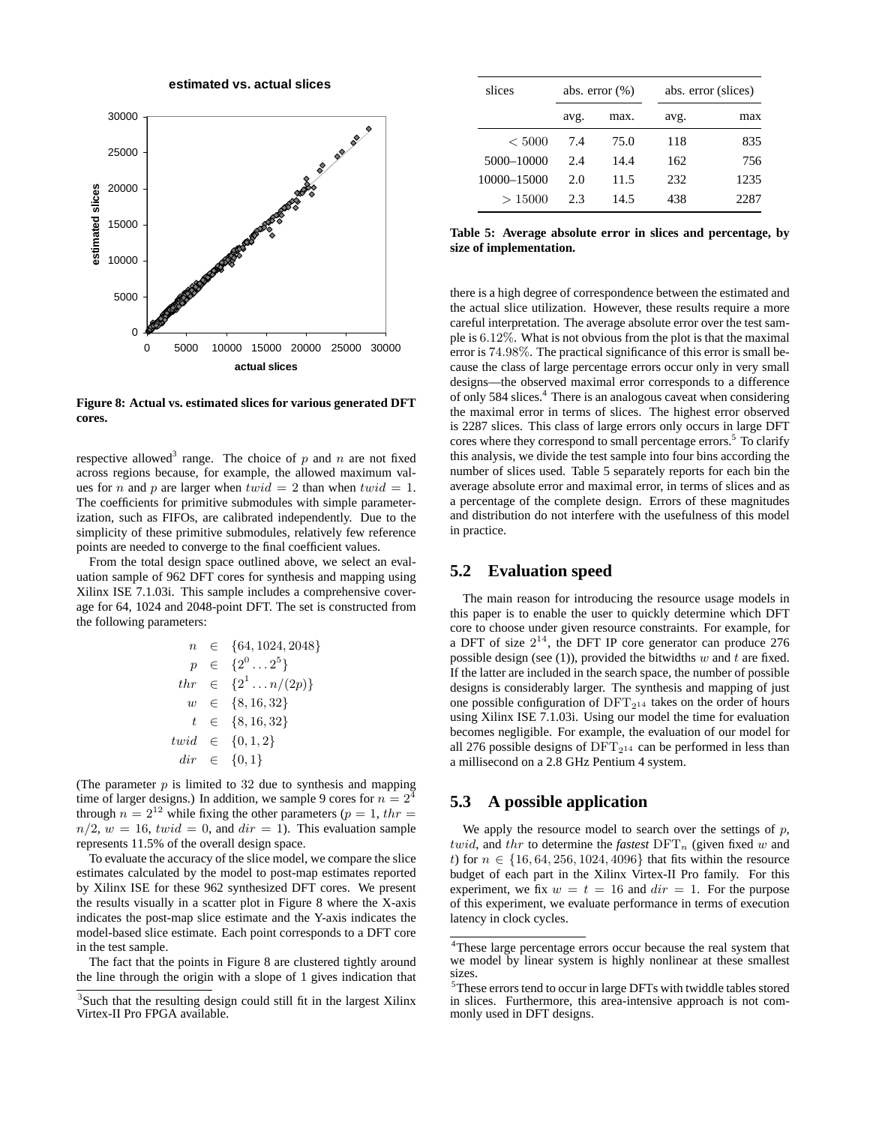**estimated vs. actual slices**



**Figure 8: Actual vs. estimated slices for various generated DFT cores.**

respective allowed<sup>3</sup> range. The choice of  $p$  and  $n$  are not fixed across regions because, for example, the allowed maximum values for *n* and *p* are larger when  $twid = 2$  than when  $twid = 1$ . The coefficients for primitive submodules with simple parameterization, such as FIFOs, are calibrated independently. Due to the simplicity of these primitive submodules, relatively few reference points are needed to converge to the final coefficient values.

From the total design space outlined above, we select an evaluation sample of 962 DFT cores for synthesis and mapping using Xilinx ISE 7.1.03i. This sample includes a comprehensive coverage for 64, 1024 and 2048-point DFT. The set is constructed from the following parameters:

$$
n \in \{64, 1024, 2048\}
$$
  
\n
$$
p \in \{2^0 \dots 2^5\}
$$
  
\n
$$
thr \in \{2^1 \dots n/(2p)\}
$$
  
\n
$$
w \in \{8, 16, 32\}
$$
  
\n
$$
t \in \{8, 16, 32\}
$$
  
\n
$$
twid \in \{0, 1, 2\}
$$
  
\n
$$
dir \in \{0, 1\}
$$

(The parameter  $p$  is limited to 32 due to synthesis and mapping time of larger designs.) In addition, we sample 9 cores for  $n = 2^{\frac{3}{4}}$ through  $n = 2^{12}$  while fixing the other parameters ( $p = 1$ , thr  $n/2$ ,  $w = 16$ ,  $twid = 0$ , and  $dir = 1$ ). This evaluation sample represents 11.5% of the overall design space.

To evaluate the accuracy of the slice model, we compare the slice estimates calculated by the model to post-map estimates reported by Xilinx ISE for these 962 synthesized DFT cores. We present the results visually in a scatter plot in Figure 8 where the X-axis indicates the post-map slice estimate and the Y-axis indicates the model-based slice estimate. Each point corresponds to a DFT core in the test sample.

The fact that the points in Figure 8 are clustered tightly around the line through the origin with a slope of 1 gives indication that

| slices      |      | abs. error $(\%)$ |      | abs. error (slices) |  |  |
|-------------|------|-------------------|------|---------------------|--|--|
|             | avg. | max.              | avg. | max                 |  |  |
| < 5000      | 7.4  | 75.0              | 118  | 835                 |  |  |
| 5000-10000  | 2.4  | 14.4              | 162  | 756                 |  |  |
| 10000-15000 | 2.0  | 11.5              | 232  | 1235                |  |  |
| >15000      | 2.3  | 14.5              | 438  | 2287                |  |  |

**Table 5: Average absolute error in slices and percentage, by size of implementation.**

there is a high degree of correspondence between the estimated and the actual slice utilization. However, these results require a more careful interpretation. The average absolute error over the test sample is 6.12%. What is not obvious from the plot is that the maximal error is 74.98%. The practical significance of this error is small because the class of large percentage errors occur only in very small designs—the observed maximal error corresponds to a difference of only 584 slices.4 There is an analogous caveat when considering the maximal error in terms of slices. The highest error observed is 2287 slices. This class of large errors only occurs in large DFT cores where they correspond to small percentage errors.<sup>5</sup> To clarify this analysis, we divide the test sample into four bins according the number of slices used. Table 5 separately reports for each bin the average absolute error and maximal error, in terms of slices and as a percentage of the complete design. Errors of these magnitudes and distribution do not interfere with the usefulness of this model in practice.

## **5.2 Evaluation speed**

The main reason for introducing the resource usage models in this paper is to enable the user to quickly determine which DFT core to choose under given resource constraints. For example, for a DFT of size  $2^{14}$ , the DFT IP core generator can produce 276 possible design (see (1)), provided the bitwidths  $w$  and  $t$  are fixed. If the latter are included in the search space, the number of possible designs is considerably larger. The synthesis and mapping of just one possible configuration of  $DFT_{2^{14}}$  takes on the order of hours using Xilinx ISE 7.1.03i. Using our model the time for evaluation becomes negligible. For example, the evaluation of our model for all 276 possible designs of  $DFT_{2^{14}}$  can be performed in less than a millisecond on a 2.8 GHz Pentium 4 system.

## **5.3 A possible application**

We apply the resource model to search over the settings of  $p$ , twid, and thr to determine the *fastest*  $\text{DFT}_n$  (given fixed w and t) for  $n \in \{16, 64, 256, 1024, 4096\}$  that fits within the resource budget of each part in the Xilinx Virtex-II Pro family. For this experiment, we fix  $w = t = 16$  and  $dir = 1$ . For the purpose of this experiment, we evaluate performance in terms of execution latency in clock cycles.

<sup>&</sup>lt;sup>3</sup>Such that the resulting design could still fit in the largest Xilinx Virtex-II Pro FPGA available.

<sup>&</sup>lt;sup>4</sup>These large percentage errors occur because the real system that we model by linear system is highly nonlinear at these smallest sizes.

<sup>&</sup>lt;sup>5</sup>These errors tend to occur in large DFTs with twiddle tables stored in slices. Furthermore, this area-intensive approach is not commonly used in DFT designs.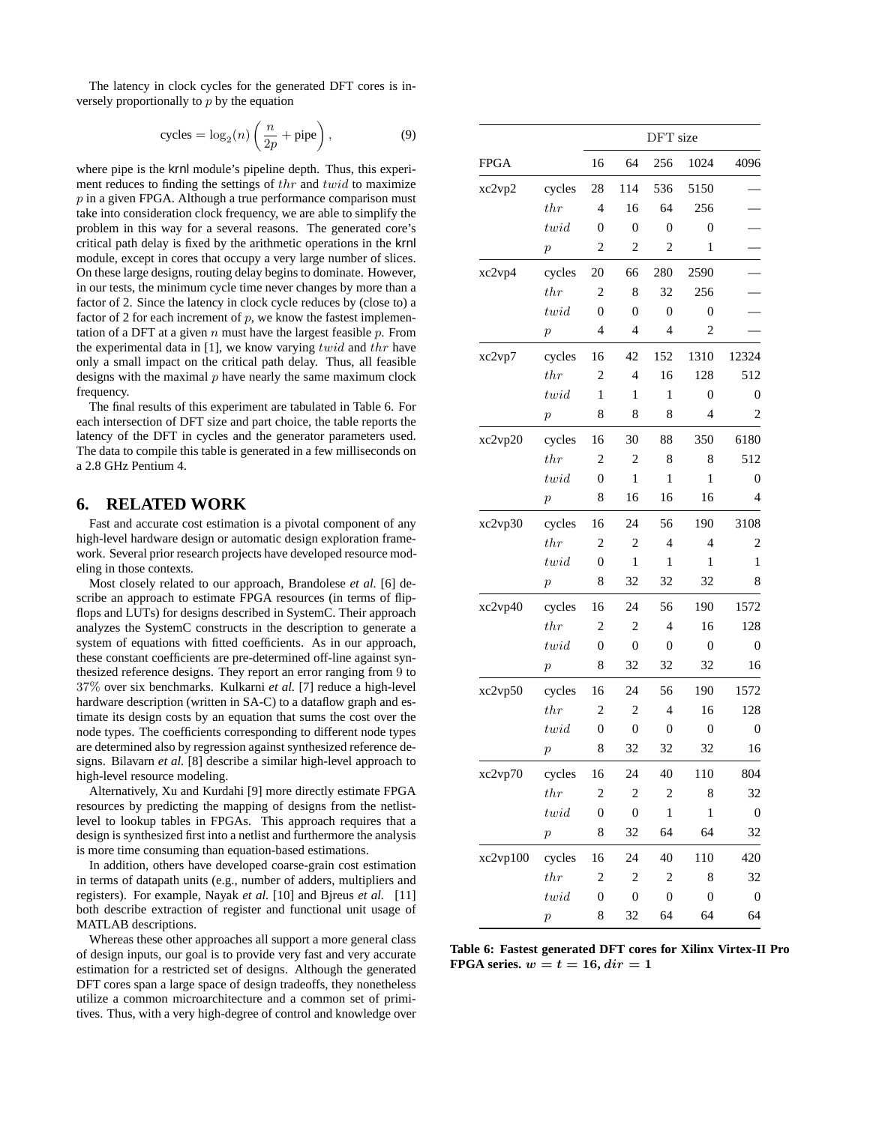The latency in clock cycles for the generated DFT cores is inversely proportionally to  $p$  by the equation

$$
cycles = \log_2(n) \left(\frac{n}{2p} + \text{pipe}\right),\tag{9}
$$

where pipe is the krnl module's pipeline depth. Thus, this experiment reduces to finding the settings of thr and twid to maximize  $p$  in a given FPGA. Although a true performance comparison must take into consideration clock frequency, we are able to simplify the problem in this way for a several reasons. The generated core's critical path delay is fixed by the arithmetic operations in the krnl module, except in cores that occupy a very large number of slices. On these large designs, routing delay begins to dominate. However, in our tests, the minimum cycle time never changes by more than a factor of 2. Since the latency in clock cycle reduces by (close to) a factor of 2 for each increment of  $p$ , we know the fastest implementation of a DFT at a given  $n$  must have the largest feasible  $p$ . From the experimental data in [1], we know varying  $twid$  and  $thr$  have only a small impact on the critical path delay. Thus, all feasible designs with the maximal  $p$  have nearly the same maximum clock frequency.

The final results of this experiment are tabulated in Table 6. For each intersection of DFT size and part choice, the table reports the latency of the DFT in cycles and the generator parameters used. The data to compile this table is generated in a few milliseconds on a 2.8 GHz Pentium 4.

#### **6. RELATED WORK**

Fast and accurate cost estimation is a pivotal component of any high-level hardware design or automatic design exploration framework. Several prior research projects have developed resource modeling in those contexts.

Most closely related to our approach, Brandolese *et al.* [6] describe an approach to estimate FPGA resources (in terms of flipflops and LUTs) for designs described in SystemC. Their approach analyzes the SystemC constructs in the description to generate a system of equations with fitted coefficients. As in our approach, these constant coefficients are pre-determined off-line against synthesized reference designs. They report an error ranging from 9 to 37% over six benchmarks. Kulkarni *et al.* [7] reduce a high-level hardware description (written in SA-C) to a dataflow graph and estimate its design costs by an equation that sums the cost over the node types. The coefficients corresponding to different node types are determined also by regression against synthesized reference designs. Bilavarn *et al.* [8] describe a similar high-level approach to high-level resource modeling.

Alternatively, Xu and Kurdahi [9] more directly estimate FPGA resources by predicting the mapping of designs from the netlistlevel to lookup tables in FPGAs. This approach requires that a design is synthesized first into a netlist and furthermore the analysis is more time consuming than equation-based estimations.

In addition, others have developed coarse-grain cost estimation in terms of datapath units (e.g., number of adders, multipliers and registers). For example, Nayak *et al.* [10] and Bjreus *et al.* [11] both describe extraction of register and functional unit usage of MATLAB descriptions.

Whereas these other approaches all support a more general class of design inputs, our goal is to provide very fast and very accurate estimation for a restricted set of designs. Although the generated DFT cores span a large space of design tradeoffs, they nonetheless utilize a common microarchitecture and a common set of primitives. Thus, with a very high-degree of control and knowledge over

|             |                  | DFT size         |                         |                |                  |                  |  |
|-------------|------------------|------------------|-------------------------|----------------|------------------|------------------|--|
| <b>FPGA</b> |                  | 16               | 64                      | 256            | 1024             | 4096             |  |
| xc2vp2      | cycles           | 28               | 114                     | 536            | 5150             |                  |  |
|             | thr              | $\overline{4}$   | 16                      | 64             | 256              |                  |  |
|             | twid             | $\mathbf{0}$     | $\overline{0}$          | $\overline{0}$ | $\overline{0}$   |                  |  |
|             | $\boldsymbol{p}$ | $\overline{c}$   | $\overline{\mathbf{c}}$ | $\overline{c}$ | 1                |                  |  |
| xc2vp4      | cycles           | 20               | 66                      | 280            | 2590             |                  |  |
|             | thr              | $\overline{2}$   | 8                       | 32             | 256              |                  |  |
|             | twid             | $\mathbf{0}$     | $\boldsymbol{0}$        | $\overline{0}$ | $\overline{0}$   |                  |  |
|             | $\boldsymbol{p}$ | $\overline{4}$   | 4                       | 4              | $\overline{2}$   |                  |  |
| xc2vp7      | cycles           | 16               | 42                      | 152            | 1310             | 12324            |  |
|             | thr              | $\overline{c}$   | $\overline{4}$          | 16             | 128              | 512              |  |
|             | twid             | $\mathbf{1}$     | 1                       | $\mathbf{1}$   | $\boldsymbol{0}$ | 0                |  |
|             | $\boldsymbol{p}$ | 8                | 8                       | 8              | 4                | 2                |  |
| xc2vp20     | cycles           | 16               | 30                      | 88             | 350              | 6180             |  |
|             | thr              | $\overline{2}$   | $\overline{c}$          | 8              | 8                | 512              |  |
|             | twid             | $\boldsymbol{0}$ | $\mathbf{1}$            | $\mathbf{1}$   | 1                | 0                |  |
|             | $\boldsymbol{p}$ | 8                | 16                      | 16             | 16               | 4                |  |
| xc2vp30     | cycles           | 16               | 24                      | 56             | 190              | 3108             |  |
|             | thr              | $\overline{2}$   | $\overline{\mathbf{c}}$ | 4              | 4                | 2                |  |
|             | twid             | $\boldsymbol{0}$ | $\mathbf{1}$            | $\mathbf{1}$   | $\mathbf{1}$     | $\mathbf{1}$     |  |
|             | $\boldsymbol{p}$ | 8                | 32                      | 32             | 32               | 8                |  |
| xc2vp40     | cycles           | 16               | 24                      | 56             | 190              | 1572             |  |
|             | thr              | $\overline{c}$   | $\overline{c}$          | 4              | 16               | 128              |  |
|             | twid             | $\mathbf{0}$     | $\boldsymbol{0}$        | $\mathbf{0}$   | $\boldsymbol{0}$ | $\boldsymbol{0}$ |  |
|             | $\boldsymbol{p}$ | 8                | 32                      | 32             | 32               | 16               |  |
| xc2vp50     | cycles           | 16               | 24                      | 56             | 190              | 1572             |  |
|             | $_{thr}$         | 2                | 2                       | 4              | 16               | 128              |  |
|             | twid             | $\mathbf{0}$     | $\boldsymbol{0}$        | $\mathbf{0}$   | $\boldsymbol{0}$ | $\boldsymbol{0}$ |  |
|             | $\,p\,$          | 8                | 32                      | 32             | 32               | 16               |  |
| xc2vp70     | cycles           | 16               | 24                      | 40             | 110              | 804              |  |
|             | thr              | $\overline{c}$   | $\overline{c}$          | $\overline{c}$ | 8                | 32               |  |
|             | twid             | $\boldsymbol{0}$ | $\boldsymbol{0}$        | $\,1$          | $\mathbf{1}$     | $\boldsymbol{0}$ |  |
|             | $\boldsymbol{p}$ | 8                | 32                      | 64             | 64               | 32               |  |
| xc2vp100    | cycles           | 16               | 24                      | 40             | 110              | 420              |  |
|             | $_{thr}$         | $\overline{c}$   | $\overline{c}$          | $\sqrt{2}$     | 8                | 32               |  |
|             | twid             | $\boldsymbol{0}$ | $\boldsymbol{0}$        | $\mathbf{0}$   | $\boldsymbol{0}$ | $\boldsymbol{0}$ |  |
|             | $\boldsymbol{p}$ | 8                | 32                      | 64             | 64               | 64               |  |

**Table 6: Fastest generated DFT cores for Xilinx Virtex-II Pro FPGA series.**  $w = t = 16$ ,  $dir = 1$